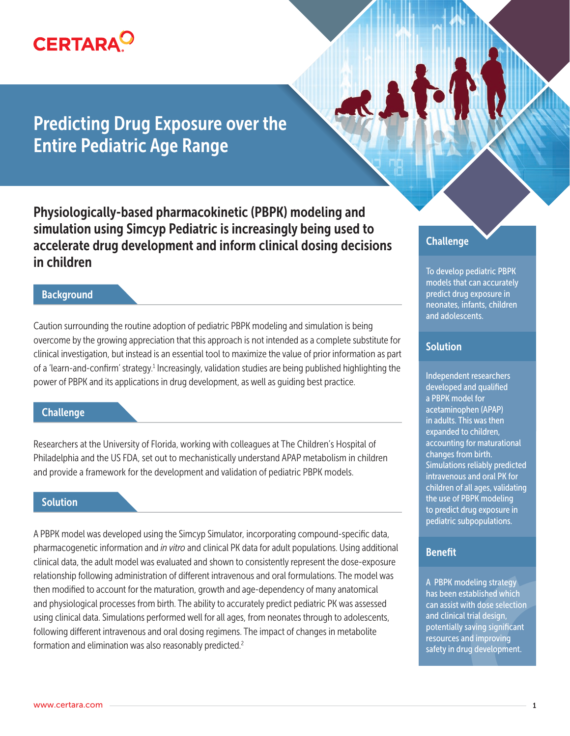

# Predicting Drug Exposure over the Entire Pediatric Age Range

Physiologically-based pharmacokinetic (PBPK) modeling and simulation using Simcyp Pediatric is increasingly being used to accelerate drug development and inform clinical dosing decisions in children

## **Background**

Caution surrounding the routine adoption of pediatric PBPK modeling and simulation is being overcome by the growing appreciation that this approach is not intended as a complete substitute for clinical investigation, but instead is an essential tool to maximize the value of prior information as part of a 'learn-and-confirm' strategy.<sup>1</sup> Increasingly, validation studies are being published highlighting the power of PBPK and its applications in drug development, as well as guiding best practice.

### **Challenge**

Researchers at the University of Florida, working with colleagues at The Children's Hospital of Philadelphia and the US FDA, set out to mechanistically understand APAP metabolism in children and provide a framework for the development and validation of pediatric PBPK models.

# Solution

A PBPK model was developed using the Simcyp Simulator, incorporating compound-specific data, pharmacogenetic information and *in vitro* and clinical PK data for adult populations. Using additional clinical data, the adult model was evaluated and shown to consistently represent the dose-exposure relationship following administration of different intravenous and oral formulations. The model was then modified to account for the maturation, growth and age-dependency of many anatomical and physiological processes from birth. The ability to accurately predict pediatric PK was assessed using clinical data. Simulations performed well for all ages, from neonates through to adolescents, following different intravenous and oral dosing regimens. The impact of changes in metabolite formation and elimination was also reasonably predicted.2

# **Challenge**

To develop pediatric PBPK models that can accurately predict drug exposure in neonates, infants, children and adolescents.

# **Solution**

Independent researchers developed and qualified a PBPK model for acetaminophen (APAP) in adults. This was then expanded to children, accounting for maturational changes from birth. Simulations reliably predicted intravenous and oral PK for children of all ages, validating the use of PBPK modeling to predict drug exposure in pediatric subpopulations.

#### Benefit

A PBPK modeling strategy has been established which can assist with dose selection and clinical trial design, potentially saving significant resources and improving safety in drug development.